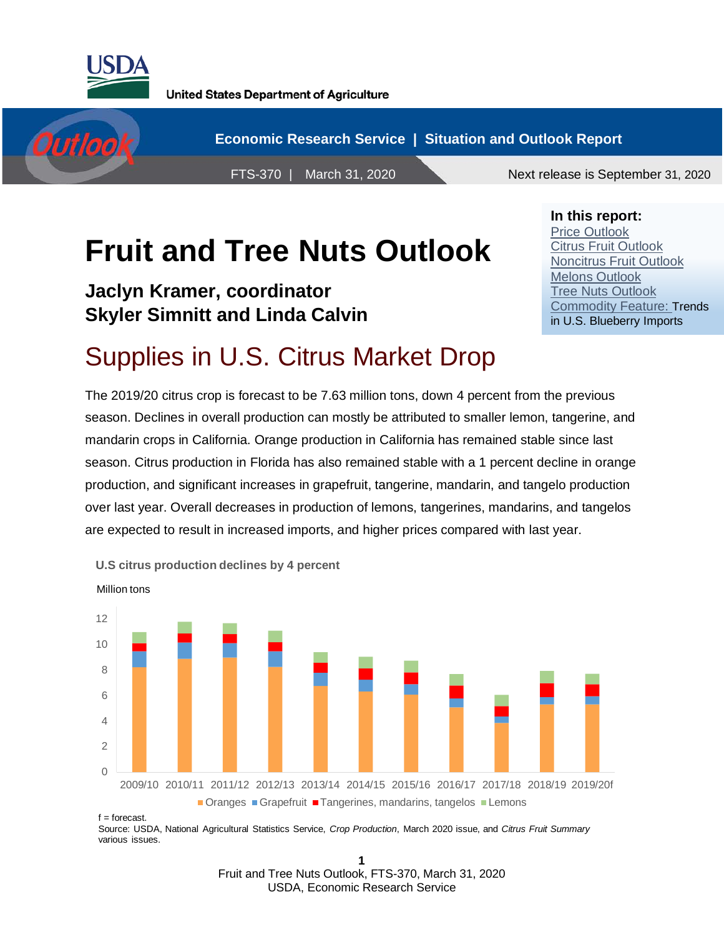



**In this report:** Price Outlook Citrus Fruit Outlook Noncitrus Fruit Outlook

Melons Outlook Tree Nuts Outlook

Commodity Feature: Trends in U.S. Blueberry Imports

# **Fruit and Tree Nuts Outlook**

**Jaclyn Kramer, coordinator Skyler Simnitt and Linda Calvin**

# Supplies in U.S. Citrus Market Drop

The 2019/20 citrus crop is forecast to be 7.63 million tons, down 4 percent from the previous season. Declines in overall production can mostly be attributed to smaller lemon, tangerine, and mandarin crops in California. Orange production in California has remained stable since last season. Citrus production in Florida has also remained stable with a 1 percent decline in orange production, and significant increases in grapefruit, tangerine, mandarin, and tangelo production over last year. Overall decreases in production of lemons, tangerines, mandarins, and tangelos are expected to result in increased imports, and higher prices compared with last year.



 $f =$  forecast.

Source: USDA, National Agricultural Statistics Service, *Crop Production*, March 2020 issue, and *Citrus Fruit Summary* various issues.

> **1** Fruit and Tree Nuts Outlook, FTS-370, March 31, 2020 USDA, Economic Research Service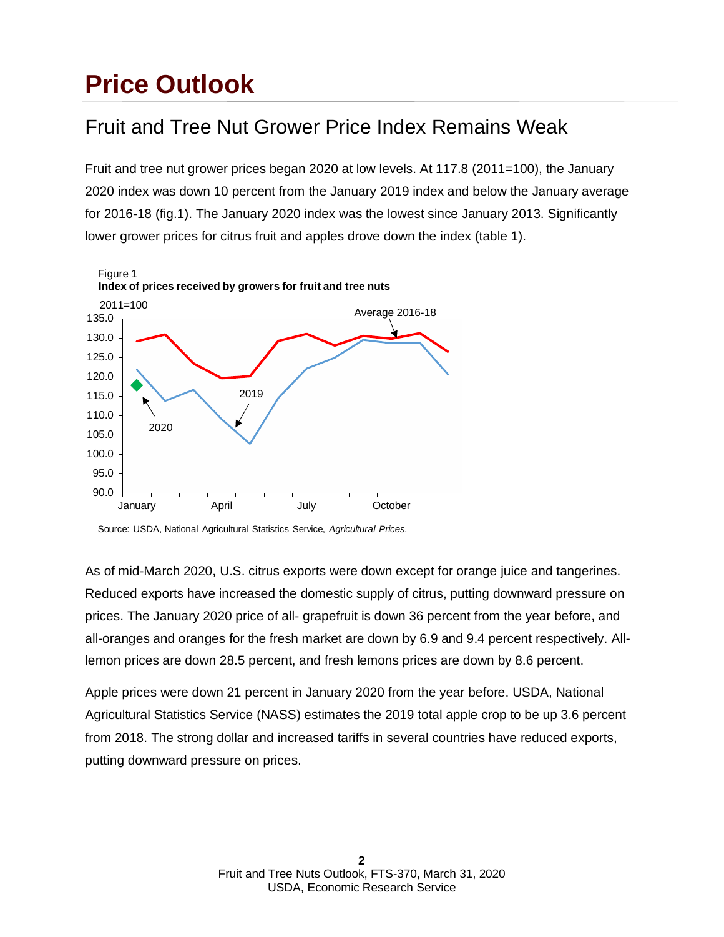### **Price Outlook**

#### Fruit and Tree Nut Grower Price Index Remains Weak

Fruit and tree nut grower prices began 2020 at low levels. At 117.8 (2011=100), the January 2020 index was down 10 percent from the January 2019 index and below the January average for 2016-18 (fig.1). The January 2020 index was the lowest since January 2013. Significantly lower grower prices for citrus fruit and apples drove down the index (table 1).



Source: USDA, National Agricultural Statistics Service, *Agricultural Prices.*

As of mid-March 2020, U.S. citrus exports were down except for orange juice and tangerines. Reduced exports have increased the domestic supply of citrus, putting downward pressure on prices. The January 2020 price of all- grapefruit is down 36 percent from the year before, and all-oranges and oranges for the fresh market are down by 6.9 and 9.4 percent respectively. Alllemon prices are down 28.5 percent, and fresh lemons prices are down by 8.6 percent.

Apple prices were down 21 percent in January 2020 from the year before. USDA, National Agricultural Statistics Service (NASS) estimates the 2019 total apple crop to be up 3.6 percent from 2018. The strong dollar and increased tariffs in several countries have reduced exports, putting downward pressure on prices.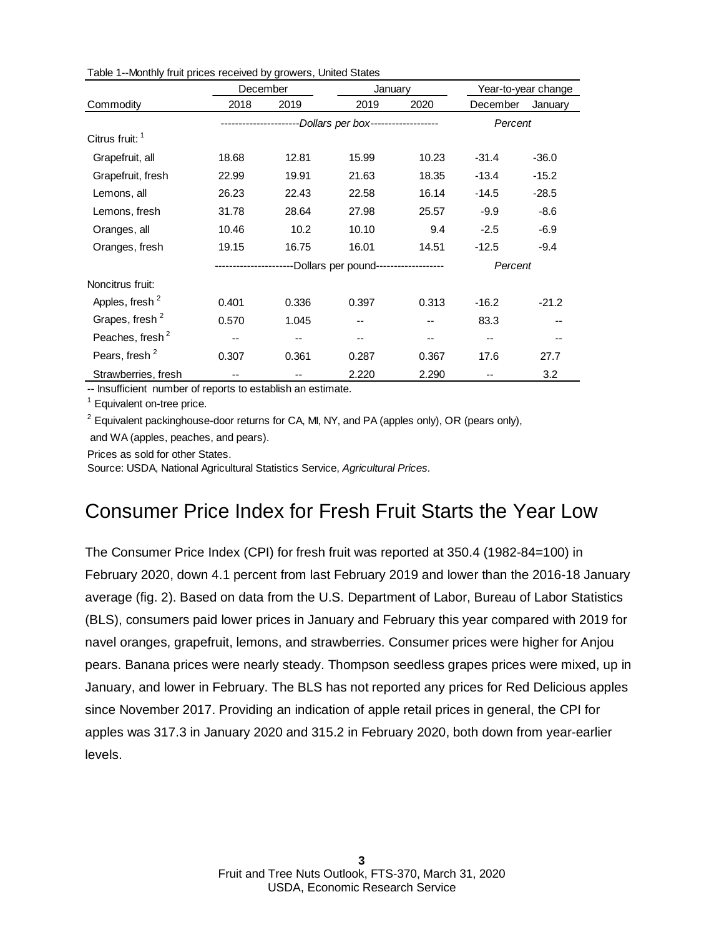|                             | December |       | January                                       |       |          | Year-to-year change |
|-----------------------------|----------|-------|-----------------------------------------------|-------|----------|---------------------|
| Commodity                   | 2018     | 2019  | 2019                                          | 2020  | December | January             |
|                             |          |       | ------------Dollars per box------------------ |       | Percent  |                     |
| Citrus fruit: 1             |          |       |                                               |       |          |                     |
| Grapefruit, all             | 18.68    | 12.81 | 15.99                                         | 10.23 | $-31.4$  | $-36.0$             |
| Grapefruit, fresh           | 22.99    | 19.91 | 21.63                                         | 18.35 | $-13.4$  | $-15.2$             |
| Lemons, all                 | 26.23    | 22.43 | 22.58                                         | 16.14 | $-14.5$  | $-28.5$             |
| Lemons, fresh               | 31.78    | 28.64 | 27.98                                         | 25.57 | $-9.9$   | $-8.6$              |
| Oranges, all                | 10.46    | 10.2  | 10.10                                         | 9.4   | $-2.5$   | $-6.9$              |
| Oranges, fresh              | 19.15    | 16.75 | 16.01                                         | 14.51 | $-12.5$  | $-9.4$              |
|                             |          |       | -Dollars per pound-------------------         |       | Percent  |                     |
| Noncitrus fruit:            |          |       |                                               |       |          |                     |
| Apples, fresh <sup>2</sup>  | 0.401    | 0.336 | 0.397                                         | 0.313 | $-16.2$  | $-21.2$             |
| Grapes, fresh <sup>2</sup>  | 0.570    | 1.045 |                                               |       | 83.3     |                     |
| Peaches, fresh <sup>2</sup> | --       | --    |                                               | --    | --       |                     |
| Pears, fresh <sup>2</sup>   | 0.307    | 0.361 | 0.287                                         | 0.367 | 17.6     | 27.7                |
| Strawberries, fresh         |          |       | 2.220                                         | 2.290 |          | 3.2                 |

Table 1--Monthly fruit prices received by growers, United States

-- Insufficient number of reports to establish an estimate.

<sup>1</sup> Equivalent on-tree price.

 $2$  Equivalent packinghouse-door returns for CA, MI, NY, and PA (apples only), OR (pears only), and WA (apples, peaches, and pears).

Prices as sold for other States.

Source: USDA, National Agricultural Statistics Service, *Agricultural Prices.*

#### Consumer Price Index for Fresh Fruit Starts the Year Low

The Consumer Price Index (CPI) for fresh fruit was reported at 350.4 (1982-84=100) in February 2020, down 4.1 percent from last February 2019 and lower than the 2016-18 January average (fig. 2). Based on data from the U.S. Department of Labor, Bureau of Labor Statistics (BLS), consumers paid lower prices in January and February this year compared with 2019 for navel oranges, grapefruit, lemons, and strawberries. Consumer prices were higher for Anjou pears. Banana prices were nearly steady. Thompson seedless grapes prices were mixed, up in January, and lower in February. The BLS has not reported any prices for Red Delicious apples since November 2017. Providing an indication of apple retail prices in general, the CPI for apples was 317.3 in January 2020 and 315.2 in February 2020, both down from year-earlier levels.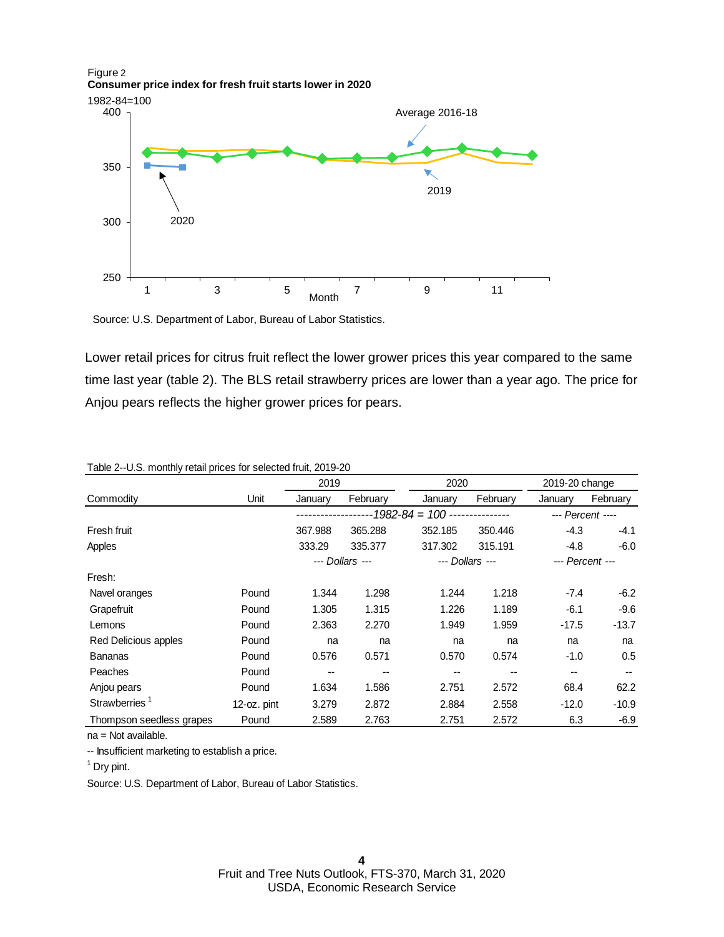

Source: U.S. Department of Labor, Bureau of Labor Statistics.

Lower retail prices for citrus fruit reflect the lower grower prices this year compared to the same time last year (table 2). The BLS retail strawberry prices are lower than a year ago. The price for Anjou pears reflects the higher grower prices for pears.

|                           |                    | 2019<br>2020 |                 |                 | 2019-20 change |                  |          |
|---------------------------|--------------------|--------------|-----------------|-----------------|----------------|------------------|----------|
| Commodity                 | Unit               | January      | February        | January         | February       | January          | February |
|                           | --1982-84 = 100 -- |              |                 |                 |                | --- Percent ---- |          |
| Fresh fruit               |                    | 367.988      | 365.288         | 352.185         | 350.446        | $-4.3$           | $-4.1$   |
| Apples                    |                    | 333.29       | 335,377         | 317.302         | 315.191        | $-4.8$           | $-6.0$   |
|                           |                    |              | --- Dollars --- | --- Dollars --- |                | --- Percent ---  |          |
| Fresh:                    |                    |              |                 |                 |                |                  |          |
| Navel oranges             | Pound              | 1.344        | 1.298           | 1.244           | 1.218          | $-7.4$           | -6.2     |
| Grapefruit                | Pound              | 1.305        | 1.315           | 1.226           | 1.189          | $-6.1$           | $-9.6$   |
| Lemons                    | Pound              | 2.363        | 2.270           | 1.949           | 1.959          | $-17.5$          | $-13.7$  |
| Red Delicious apples      | Pound              | na           | na              | na              | na             | na               | na       |
| <b>Bananas</b>            | Pound              | 0.576        | 0.571           | 0.570           | 0.574          | $-1.0$           | 0.5      |
| Peaches                   | Pound              | --           | $-$             | --              |                | --               | $- -$    |
| Anjou pears               | Pound              | 1.634        | 1.586           | 2.751           | 2.572          | 68.4             | 62.2     |
| Strawberries <sup>1</sup> | 12-oz. pint        | 3.279        | 2.872           | 2.884           | 2.558          | $-12.0$          | $-10.9$  |
| Thompson seedless grapes  | Pound              | 2.589        | 2.763           | 2.751           | 2.572          | 6.3              | $-6.9$   |

Table 2--U.S. monthly retail prices for selected fruit, 2019-20

na = Not available.

-- Insufficient marketing to establish a price.

1 Dry pint.

Source: U.S. Department of Labor, Bureau of Labor Statistics.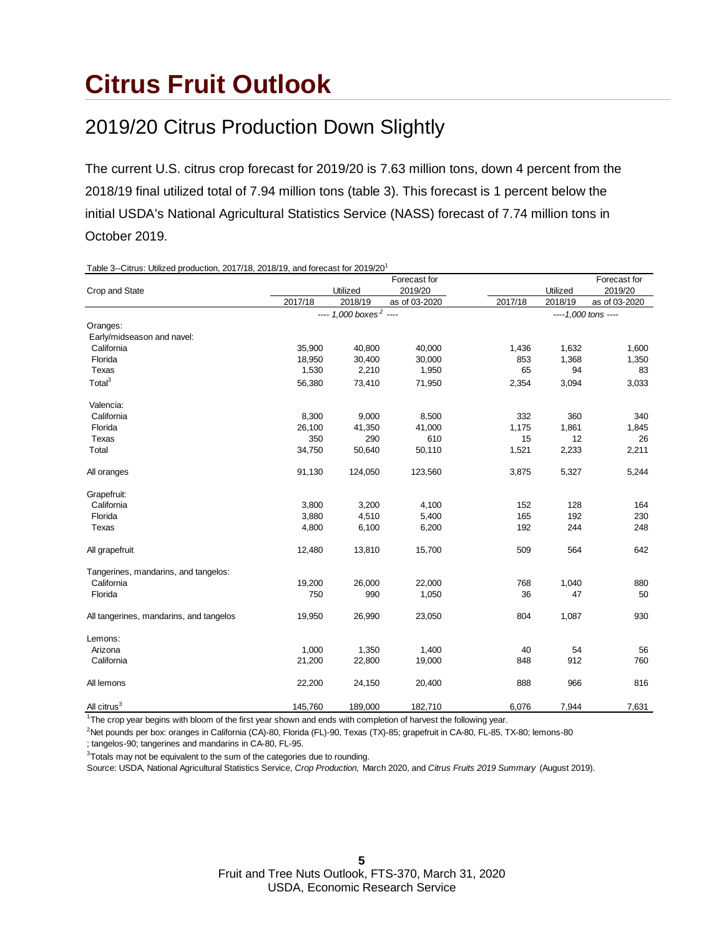### **Citrus Fruit Outlook**

#### 2019/20 Citrus Production Down Slightly

The current U.S. citrus crop forecast for 2019/20 is 7.63 million tons, down 4 percent from the 2018/19 final utilized total of 7.94 million tons (table 3). This forecast is 1 percent below the initial USDA's National Agricultural Statistics Service (NASS) forecast of 7.74 million tons in October 2019.

Table 3--Citrus: Utilized production, 2017/18, 2018/19, and forecast for 2019/201 Forecast for Forecast for Forecast for Forecast for Forecast for Forecast for Forecast for Forecast for Forecast for Forecast for Forecast for Forecast for Forecast for Forecast for Forecast for Forecast for Forecast for F Crop and State Utilized 2019/20 Utilized 2019/20 2017/18 2018/19 as of 03-2020 2017/18 2018/19 as of 03-2020  *----1,000 tons ----* Oranges: Early/midseason and navel: California 35,900 40,800 40,000 1,436 1,632 1,600 Florida 18,950 30,400 30,000 853 1,368 1,350 Texas 1,530 2,210 1,950 65 94 83 Total<sup>3</sup> 65,380 73,410 71,950 2,354 3,094 3,033 Valencia:<br>California California 8,300 9,000 8,500 332 360 340 Florida 26,100 41,350 41,000 1,175 1,861 1,845 Texas 350 290 610 15 12 26 Total 34,750 50,640 50,110 1,521 2,233 2,211 All oranges 91,130 124,050 123,560 3,875 5,327 5,244 Grapefruit: California 3,800 3,200 4,100 152 128 164 Florida 3,880 4,510 5,400 165 192 230 Texas 4,800 6,100 6,200 192 244 248 All grapefruit 12,480 13,810 15,700 509 564 642 Tangerines, mandarins, and tangelos: California 19,200 26,000 22,000 768 1,040 880 Florida 750 990 1,050 36 47 50 All tangerines, mandarins, and tangelos 19,950 26,990 23,050 804 1,087 930 Lemons: Arizona 1,000 1,350 1,400 40 54 56 California 21,200 22,800 19,000 848 912 760 All lemons 22,200 24,150 20,400 888 966 816 All citrus<sup>3</sup> 145,760 189,000 182,710 6,076 7,944 7,631 *---- 1,000 boxes 2 ----*

<sup>1</sup>The crop year begins with bloom of the first year shown and ends with completion of harvest the following year.

2 Net pounds per box: oranges in California (CA)-80, Florida (FL)-90, Texas (TX)-85; grapefruit in CA-80, FL-85, TX-80; lemons-80

; tangelos-90; tangerines and mandarins in CA-80, FL-95.

 $3$ Totals may not be equivalent to the sum of the categories due to rounding.

Source: USDA, National Agricultural Statistics Service, *Crop Production,* March 2020, and *Citrus Fruits 2019 Summary* (August 2019).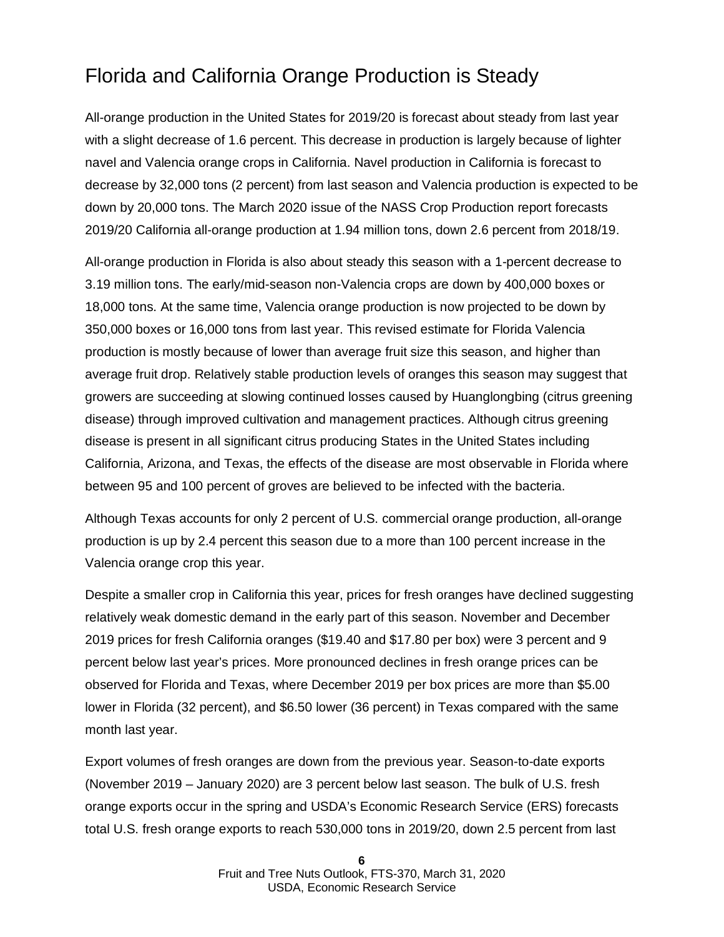#### Florida and California Orange Production is Steady

All-orange production in the United States for 2019/20 is forecast about steady from last year with a slight decrease of 1.6 percent. This decrease in production is largely because of lighter navel and Valencia orange crops in California. Navel production in California is forecast to decrease by 32,000 tons (2 percent) from last season and Valencia production is expected to be down by 20,000 tons. The March 2020 issue of the NASS Crop Production report forecasts 2019/20 California all-orange production at 1.94 million tons, down 2.6 percent from 2018/19.

All-orange production in Florida is also about steady this season with a 1-percent decrease to 3.19 million tons. The early/mid-season non-Valencia crops are down by 400,000 boxes or 18,000 tons. At the same time, Valencia orange production is now projected to be down by 350,000 boxes or 16,000 tons from last year. This revised estimate for Florida Valencia production is mostly because of lower than average fruit size this season, and higher than average fruit drop. Relatively stable production levels of oranges this season may suggest that growers are succeeding at slowing continued losses caused by Huanglongbing (citrus greening disease) through improved cultivation and management practices. Although citrus greening disease is present in all significant citrus producing States in the United States including California, Arizona, and Texas, the effects of the disease are most observable in Florida where between 95 and 100 percent of groves are believed to be infected with the bacteria.

Although Texas accounts for only 2 percent of U.S. commercial orange production, all-orange production is up by 2.4 percent this season due to a more than 100 percent increase in the Valencia orange crop this year.

Despite a smaller crop in California this year, prices for fresh oranges have declined suggesting relatively weak domestic demand in the early part of this season. November and December 2019 prices for fresh California oranges (\$19.40 and \$17.80 per box) were 3 percent and 9 percent below last year's prices. More pronounced declines in fresh orange prices can be observed for Florida and Texas, where December 2019 per box prices are more than \$5.00 lower in Florida (32 percent), and \$6.50 lower (36 percent) in Texas compared with the same month last year.

Export volumes of fresh oranges are down from the previous year. Season-to-date exports (November 2019 – January 2020) are 3 percent below last season. The bulk of U.S. fresh orange exports occur in the spring and USDA's Economic Research Service (ERS) forecasts total U.S. fresh orange exports to reach 530,000 tons in 2019/20, down 2.5 percent from last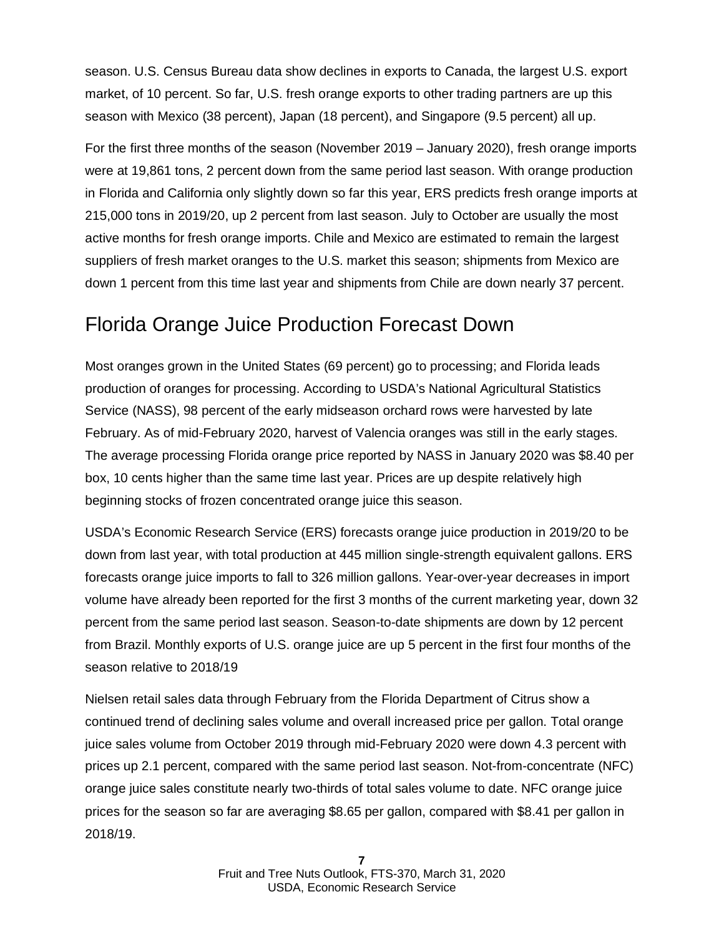season. U.S. Census Bureau data show declines in exports to Canada, the largest U.S. export market, of 10 percent. So far, U.S. fresh orange exports to other trading partners are up this season with Mexico (38 percent), Japan (18 percent), and Singapore (9.5 percent) all up.

For the first three months of the season (November 2019 – January 2020), fresh orange imports were at 19,861 tons, 2 percent down from the same period last season. With orange production in Florida and California only slightly down so far this year, ERS predicts fresh orange imports at 215,000 tons in 2019/20, up 2 percent from last season. July to October are usually the most active months for fresh orange imports. Chile and Mexico are estimated to remain the largest suppliers of fresh market oranges to the U.S. market this season; shipments from Mexico are down 1 percent from this time last year and shipments from Chile are down nearly 37 percent.

#### Florida Orange Juice Production Forecast Down

Most oranges grown in the United States (69 percent) go to processing; and Florida leads production of oranges for processing. According to USDA's National Agricultural Statistics Service (NASS), 98 percent of the early midseason orchard rows were harvested by late February. As of mid-February 2020, harvest of Valencia oranges was still in the early stages. The average processing Florida orange price reported by NASS in January 2020 was \$8.40 per box, 10 cents higher than the same time last year. Prices are up despite relatively high beginning stocks of frozen concentrated orange juice this season.

USDA's Economic Research Service (ERS) forecasts orange juice production in 2019/20 to be down from last year, with total production at 445 million single-strength equivalent gallons. ERS forecasts orange juice imports to fall to 326 million gallons. Year-over-year decreases in import volume have already been reported for the first 3 months of the current marketing year, down 32 percent from the same period last season. Season-to-date shipments are down by 12 percent from Brazil. Monthly exports of U.S. orange juice are up 5 percent in the first four months of the season relative to 2018/19

Nielsen retail sales data through February from the Florida Department of Citrus show a continued trend of declining sales volume and overall increased price per gallon. Total orange juice sales volume from October 2019 through mid-February 2020 were down 4.3 percent with prices up 2.1 percent, compared with the same period last season. Not-from-concentrate (NFC) orange juice sales constitute nearly two-thirds of total sales volume to date. NFC orange juice prices for the season so far are averaging \$8.65 per gallon, compared with \$8.41 per gallon in 2018/19.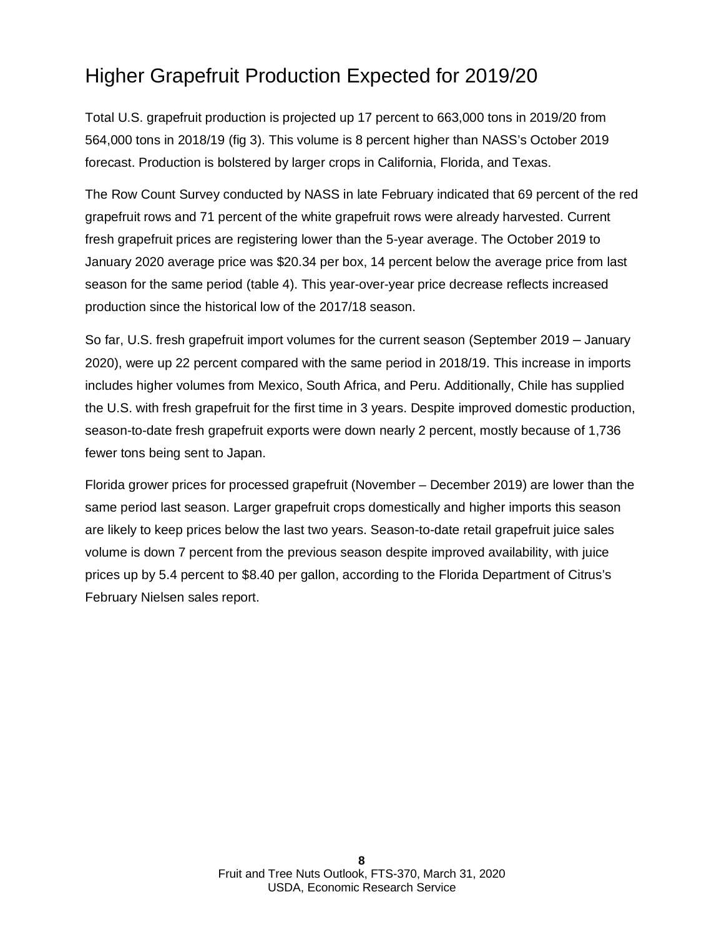#### Higher Grapefruit Production Expected for 2019/20

Total U.S. grapefruit production is projected up 17 percent to 663,000 tons in 2019/20 from 564,000 tons in 2018/19 (fig 3). This volume is 8 percent higher than NASS's October 2019 forecast. Production is bolstered by larger crops in California, Florida, and Texas.

The Row Count Survey conducted by NASS in late February indicated that 69 percent of the red grapefruit rows and 71 percent of the white grapefruit rows were already harvested. Current fresh grapefruit prices are registering lower than the 5-year average. The October 2019 to January 2020 average price was \$20.34 per box, 14 percent below the average price from last season for the same period (table 4). This year-over-year price decrease reflects increased production since the historical low of the 2017/18 season.

So far, U.S. fresh grapefruit import volumes for the current season (September 2019 – January 2020), were up 22 percent compared with the same period in 2018/19. This increase in imports includes higher volumes from Mexico, South Africa, and Peru. Additionally, Chile has supplied the U.S. with fresh grapefruit for the first time in 3 years. Despite improved domestic production, season-to-date fresh grapefruit exports were down nearly 2 percent, mostly because of 1,736 fewer tons being sent to Japan.

Florida grower prices for processed grapefruit (November – December 2019) are lower than the same period last season. Larger grapefruit crops domestically and higher imports this season are likely to keep prices below the last two years. Season-to-date retail grapefruit juice sales volume is down 7 percent from the previous season despite improved availability, with juice prices up by 5.4 percent to \$8.40 per gallon, according to the Florida Department of Citrus's February Nielsen sales report.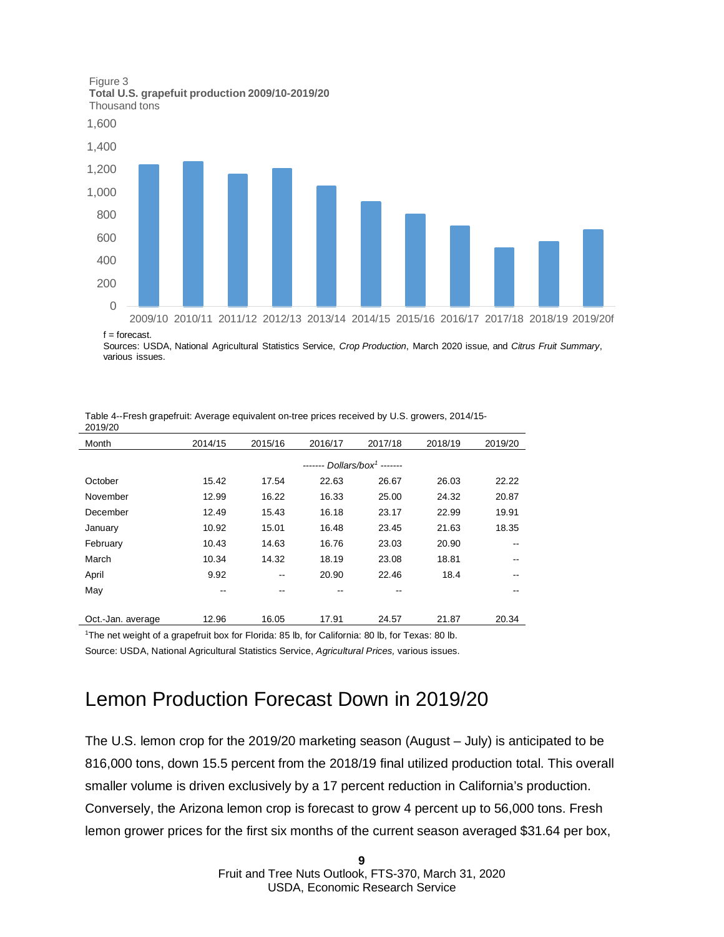Figure 3 **Total U.S. grapefuit production 2009/10-2019/20** Thousand tons





 $f =$  forecast.

Sources: USDA, National Agricultural Statistics Service, *Crop Production*, March 2020 issue, and *Citrus Fruit Summary*, various issues.

| 2019/20           |         |                                          |         |         |         |         |  |
|-------------------|---------|------------------------------------------|---------|---------|---------|---------|--|
| Month             | 2014/15 | 2015/16                                  | 2016/17 | 2017/18 | 2018/19 | 2019/20 |  |
|                   |         | ------- Dollars/box <sup>1</sup> ------- |         |         |         |         |  |
| October           | 15.42   | 17.54                                    | 22.63   | 26.67   | 26.03   | 22.22   |  |
| November          | 12.99   | 16.22                                    | 16.33   | 25.00   | 24.32   | 20.87   |  |
| December          | 12.49   | 15.43                                    | 16.18   | 23.17   | 22.99   | 19.91   |  |
| January           | 10.92   | 15.01                                    | 16.48   | 23.45   | 21.63   | 18.35   |  |
| February          | 10.43   | 14.63                                    | 16.76   | 23.03   | 20.90   |         |  |
| March             | 10.34   | 14.32                                    | 18.19   | 23.08   | 18.81   |         |  |
| April             | 9.92    | --                                       | 20.90   | 22.46   | 18.4    |         |  |
| May               | --      | --                                       |         |         |         |         |  |
|                   |         |                                          |         |         |         |         |  |
| Oct.-Jan. average | 12.96   | 16.05                                    | 17.91   | 24.57   | 21.87   | 20.34   |  |

Table 4--Fresh grapefruit: Average equivalent on-tree prices received by U.S. growers, 2014/15-

<sup>1</sup>The net weight of a grapefruit box for Florida: 85 lb, for California: 80 lb, for Texas: 80 lb.

Source: USDA, National Agricultural Statistics Service, *Agricultural Prices,* various issues.

#### Lemon Production Forecast Down in 2019/20

The U.S. lemon crop for the 2019/20 marketing season (August – July) is anticipated to be 816,000 tons, down 15.5 percent from the 2018/19 final utilized production total. This overall smaller volume is driven exclusively by a 17 percent reduction in California's production. Conversely, the Arizona lemon crop is forecast to grow 4 percent up to 56,000 tons. Fresh lemon grower prices for the first six months of the current season averaged \$31.64 per box,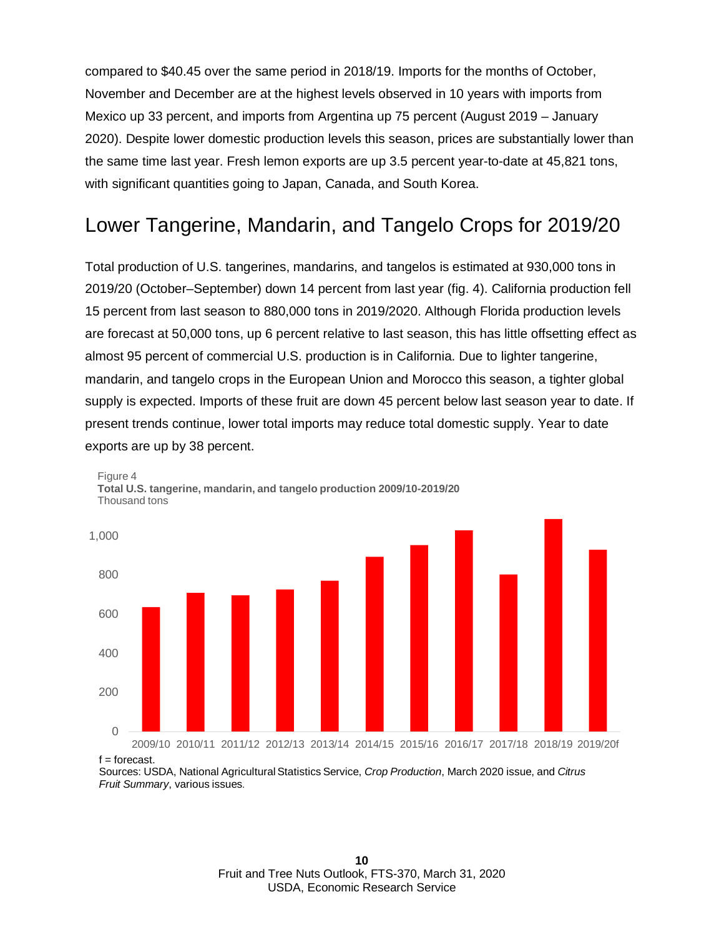compared to \$40.45 over the same period in 2018/19. Imports for the months of October, November and December are at the highest levels observed in 10 years with imports from Mexico up 33 percent, and imports from Argentina up 75 percent (August 2019 – January 2020). Despite lower domestic production levels this season, prices are substantially lower than the same time last year. Fresh lemon exports are up 3.5 percent year-to-date at 45,821 tons, with significant quantities going to Japan, Canada, and South Korea.

#### Lower Tangerine, Mandarin, and Tangelo Crops for 2019/20

Total production of U.S. tangerines, mandarins, and tangelos is estimated at 930,000 tons in 2019/20 (October–September) down 14 percent from last year (fig. 4). California production fell 15 percent from last season to 880,000 tons in 2019/2020. Although Florida production levels are forecast at 50,000 tons, up 6 percent relative to last season, this has little offsetting effect as almost 95 percent of commercial U.S. production is in California. Due to lighter tangerine, mandarin, and tangelo crops in the European Union and Morocco this season, a tighter global supply is expected. Imports of these fruit are down 45 percent below last season year to date. If present trends continue, lower total imports may reduce total domestic supply. Year to date exports are up by 38 percent.



Figure 4 **Total U.S. tangerine, mandarin, and tangelo production 2009/10-2019/20**  Thousand tons

 $f =$  forecast.

Sources: USDA, National Agricultural Statistics Service, *Crop Production*, March 2020 issue, and *Citrus Fruit Summary*, various issues.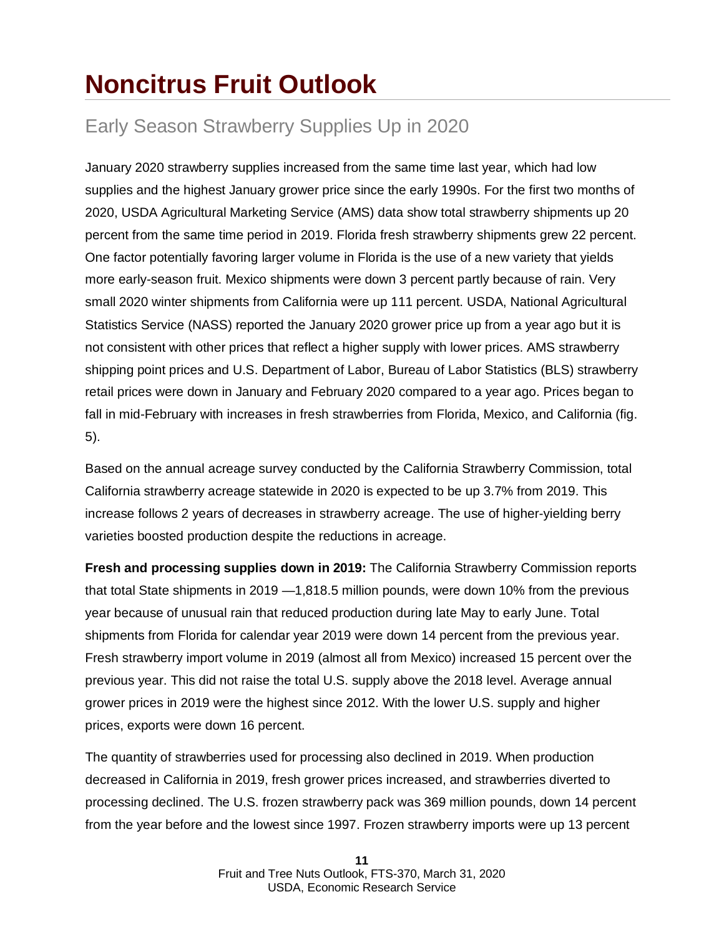### **Noncitrus Fruit Outlook**

#### Early Season Strawberry Supplies Up in 2020

January 2020 strawberry supplies increased from the same time last year, which had low supplies and the highest January grower price since the early 1990s. For the first two months of 2020, USDA Agricultural Marketing Service (AMS) data show total strawberry shipments up 20 percent from the same time period in 2019. Florida fresh strawberry shipments grew 22 percent. One factor potentially favoring larger volume in Florida is the use of a new variety that yields more early-season fruit. Mexico shipments were down 3 percent partly because of rain. Very small 2020 winter shipments from California were up 111 percent. USDA, National Agricultural Statistics Service (NASS) reported the January 2020 grower price up from a year ago but it is not consistent with other prices that reflect a higher supply with lower prices. AMS strawberry shipping point prices and U.S. Department of Labor, Bureau of Labor Statistics (BLS) strawberry retail prices were down in January and February 2020 compared to a year ago. Prices began to fall in mid-February with increases in fresh strawberries from Florida, Mexico, and California (fig. 5).

Based on the annual acreage survey conducted by the California Strawberry Commission, total California strawberry acreage statewide in 2020 is expected to be up 3.7% from 2019. This increase follows 2 years of decreases in strawberry acreage. The use of higher-yielding berry varieties boosted production despite the reductions in acreage.

**Fresh and processing supplies down in 2019:** The California Strawberry Commission reports that total State shipments in 2019 —1,818.5 million pounds, were down 10% from the previous year because of unusual rain that reduced production during late May to early June. Total shipments from Florida for calendar year 2019 were down 14 percent from the previous year. Fresh strawberry import volume in 2019 (almost all from Mexico) increased 15 percent over the previous year. This did not raise the total U.S. supply above the 2018 level. Average annual grower prices in 2019 were the highest since 2012. With the lower U.S. supply and higher prices, exports were down 16 percent.

The quantity of strawberries used for processing also declined in 2019. When production decreased in California in 2019, fresh grower prices increased, and strawberries diverted to processing declined. The U.S. frozen strawberry pack was 369 million pounds, down 14 percent from the year before and the lowest since 1997. Frozen strawberry imports were up 13 percent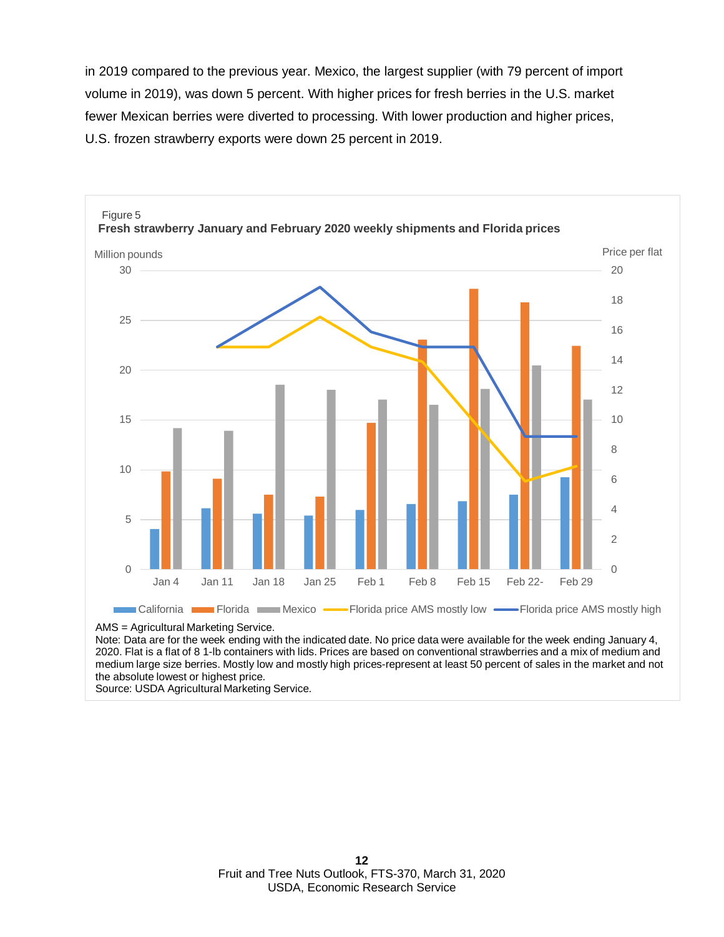in 2019 compared to the previous year. Mexico, the largest supplier (with 79 percent of import volume in 2019), was down 5 percent. With higher prices for fresh berries in the U.S. market fewer Mexican berries were diverted to processing. With lower production and higher prices, U.S. frozen strawberry exports were down 25 percent in 2019.



AMS = Agricultural Marketing Service.

Note: Data are for the week ending with the indicated date. No price data were available for the week ending January 4, 2020. Flat is a flat of 8 1-lb containers with lids. Prices are based on conventional strawberries and a mix of medium and medium large size berries. Mostly low and mostly high prices-represent at least 50 percent of sales in the market and not the absolute lowest or highest price.

Source: USDA Agricultural Marketing Service.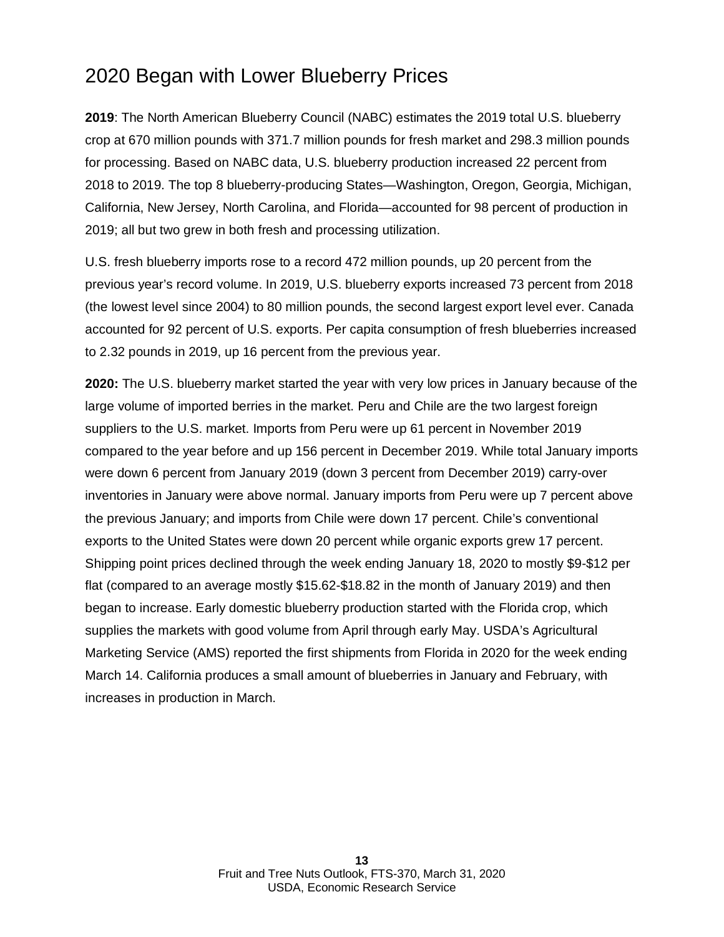#### 2020 Began with Lower Blueberry Prices

**2019**: The North American Blueberry Council (NABC) estimates the 2019 total U.S. blueberry crop at 670 million pounds with 371.7 million pounds for fresh market and 298.3 million pounds for processing. Based on NABC data, U.S. blueberry production increased 22 percent from 2018 to 2019. The top 8 blueberry-producing States—Washington, Oregon, Georgia, Michigan, California, New Jersey, North Carolina, and Florida—accounted for 98 percent of production in 2019; all but two grew in both fresh and processing utilization.

U.S. fresh blueberry imports rose to a record 472 million pounds, up 20 percent from the previous year's record volume. In 2019, U.S. blueberry exports increased 73 percent from 2018 (the lowest level since 2004) to 80 million pounds, the second largest export level ever. Canada accounted for 92 percent of U.S. exports. Per capita consumption of fresh blueberries increased to 2.32 pounds in 2019, up 16 percent from the previous year.

**2020:** The U.S. blueberry market started the year with very low prices in January because of the large volume of imported berries in the market. Peru and Chile are the two largest foreign suppliers to the U.S. market. Imports from Peru were up 61 percent in November 2019 compared to the year before and up 156 percent in December 2019. While total January imports were down 6 percent from January 2019 (down 3 percent from December 2019) carry-over inventories in January were above normal. January imports from Peru were up 7 percent above the previous January; and imports from Chile were down 17 percent. Chile's conventional exports to the United States were down 20 percent while organic exports grew 17 percent. Shipping point prices declined through the week ending January 18, 2020 to mostly \$9-\$12 per flat (compared to an average mostly \$15.62-\$18.82 in the month of January 2019) and then began to increase. Early domestic blueberry production started with the Florida crop, which supplies the markets with good volume from April through early May. USDA's Agricultural Marketing Service (AMS) reported the first shipments from Florida in 2020 for the week ending March 14. California produces a small amount of blueberries in January and February, with increases in production in March.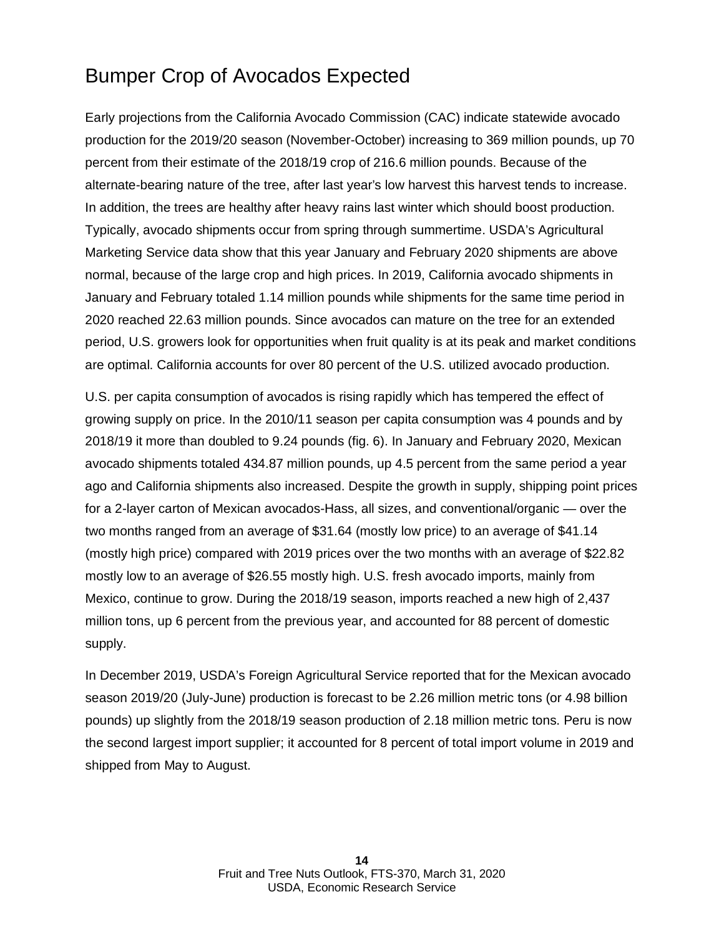#### Bumper Crop of Avocados Expected

Early projections from the California Avocado Commission (CAC) indicate statewide avocado production for the 2019/20 season (November-October) increasing to 369 million pounds, up 70 percent from their estimate of the 2018/19 crop of 216.6 million pounds. Because of the alternate-bearing nature of the tree, after last year's low harvest this harvest tends to increase. In addition, the trees are healthy after heavy rains last winter which should boost production. Typically, avocado shipments occur from spring through summertime. USDA's Agricultural Marketing Service data show that this year January and February 2020 shipments are above normal, because of the large crop and high prices. In 2019, California avocado shipments in January and February totaled 1.14 million pounds while shipments for the same time period in 2020 reached 22.63 million pounds. Since avocados can mature on the tree for an extended period, U.S. growers look for opportunities when fruit quality is at its peak and market conditions are optimal. California accounts for over 80 percent of the U.S. utilized avocado production.

U.S. per capita consumption of avocados is rising rapidly which has tempered the effect of growing supply on price. In the 2010/11 season per capita consumption was 4 pounds and by 2018/19 it more than doubled to 9.24 pounds (fig. 6). In January and February 2020, Mexican avocado shipments totaled 434.87 million pounds, up 4.5 percent from the same period a year ago and California shipments also increased. Despite the growth in supply, shipping point prices for a 2-layer carton of Mexican avocados-Hass, all sizes, and conventional/organic — over the two months ranged from an average of \$31.64 (mostly low price) to an average of \$41.14 (mostly high price) compared with 2019 prices over the two months with an average of \$22.82 mostly low to an average of \$26.55 mostly high. U.S. fresh avocado imports, mainly from Mexico, continue to grow. During the 2018/19 season, imports reached a new high of 2,437 million tons, up 6 percent from the previous year, and accounted for 88 percent of domestic supply.

In December 2019, USDA's Foreign Agricultural Service reported that for the Mexican avocado season 2019/20 (July-June) production is forecast to be 2.26 million metric tons (or 4.98 billion pounds) up slightly from the 2018/19 season production of 2.18 million metric tons. Peru is now the second largest import supplier; it accounted for 8 percent of total import volume in 2019 and shipped from May to August.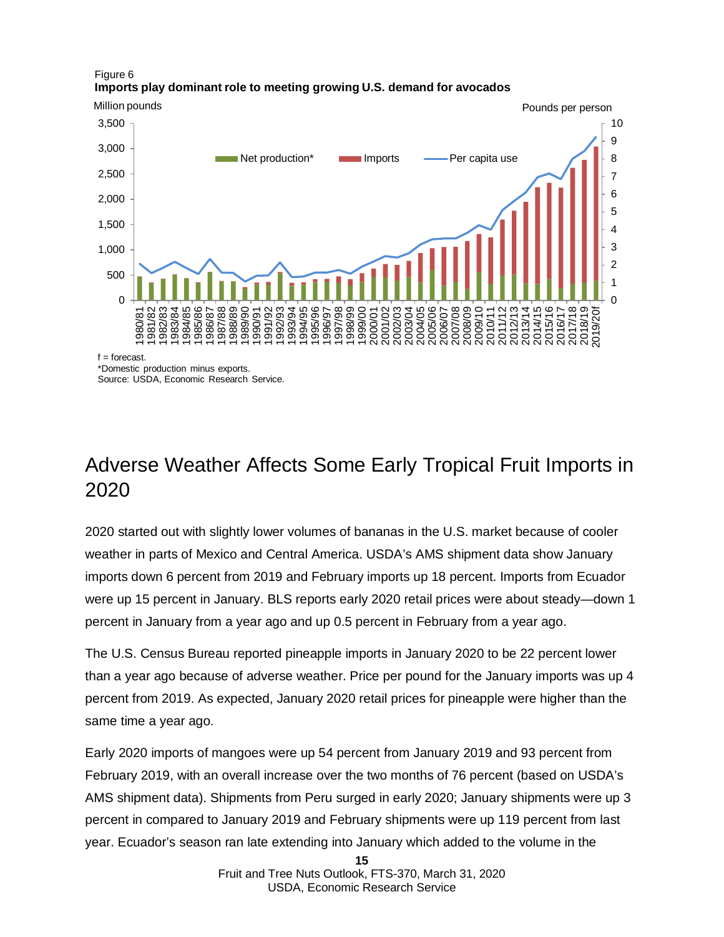#### Figure 6 **Imports play dominant role to meeting growing U.S. demand for avocados**



\*Domestic production minus exports. Source: USDA, Economic Research Service.

#### Adverse Weather Affects Some Early Tropical Fruit Imports in 2020

2020 started out with slightly lower volumes of bananas in the U.S. market because of cooler weather in parts of Mexico and Central America. USDA's AMS shipment data show January imports down 6 percent from 2019 and February imports up 18 percent. Imports from Ecuador were up 15 percent in January. BLS reports early 2020 retail prices were about steady—down 1 percent in January from a year ago and up 0.5 percent in February from a year ago.

The U.S. Census Bureau reported pineapple imports in January 2020 to be 22 percent lower than a year ago because of adverse weather. Price per pound for the January imports was up 4 percent from 2019. As expected, January 2020 retail prices for pineapple were higher than the same time a year ago.

Early 2020 imports of mangoes were up 54 percent from January 2019 and 93 percent from February 2019, with an overall increase over the two months of 76 percent (based on USDA's AMS shipment data). Shipments from Peru surged in early 2020; January shipments were up 3 percent in compared to January 2019 and February shipments were up 119 percent from last year. Ecuador's season ran late extending into January which added to the volume in the

**<sup>15</sup>**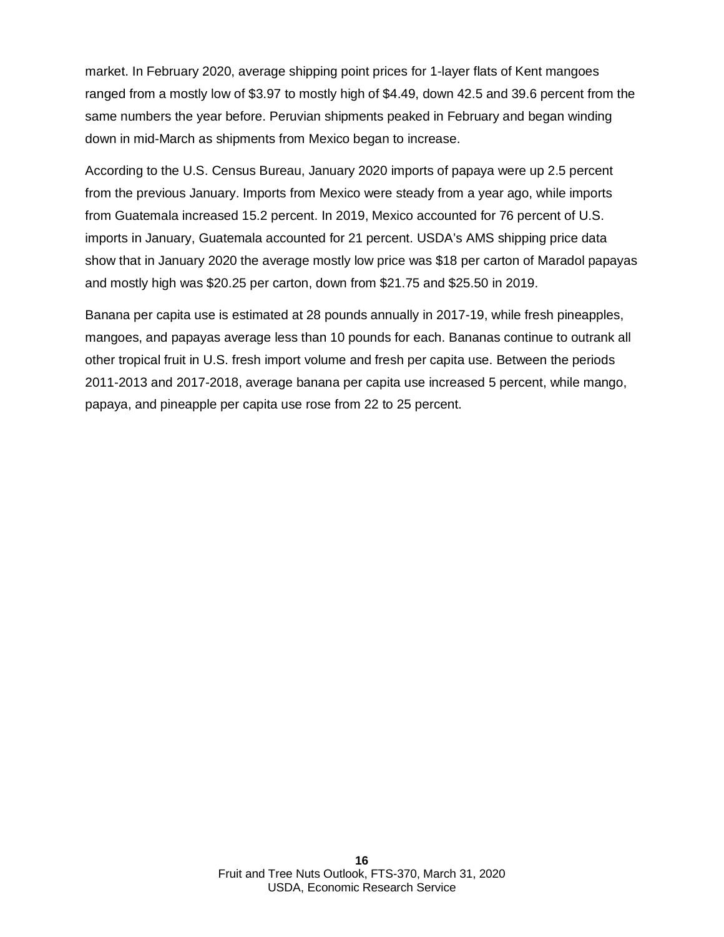market. In February 2020, average shipping point prices for 1-layer flats of Kent mangoes ranged from a mostly low of \$3.97 to mostly high of \$4.49, down 42.5 and 39.6 percent from the same numbers the year before. Peruvian shipments peaked in February and began winding down in mid-March as shipments from Mexico began to increase.

According to the U.S. Census Bureau, January 2020 imports of papaya were up 2.5 percent from the previous January. Imports from Mexico were steady from a year ago, while imports from Guatemala increased 15.2 percent. In 2019, Mexico accounted for 76 percent of U.S. imports in January, Guatemala accounted for 21 percent. USDA's AMS shipping price data show that in January 2020 the average mostly low price was \$18 per carton of Maradol papayas and mostly high was \$20.25 per carton, down from \$21.75 and \$25.50 in 2019.

Banana per capita use is estimated at 28 pounds annually in 2017-19, while fresh pineapples, mangoes, and papayas average less than 10 pounds for each. Bananas continue to outrank all other tropical fruit in U.S. fresh import volume and fresh per capita use. Between the periods 2011-2013 and 2017-2018, average banana per capita use increased 5 percent, while mango, papaya, and pineapple per capita use rose from 22 to 25 percent.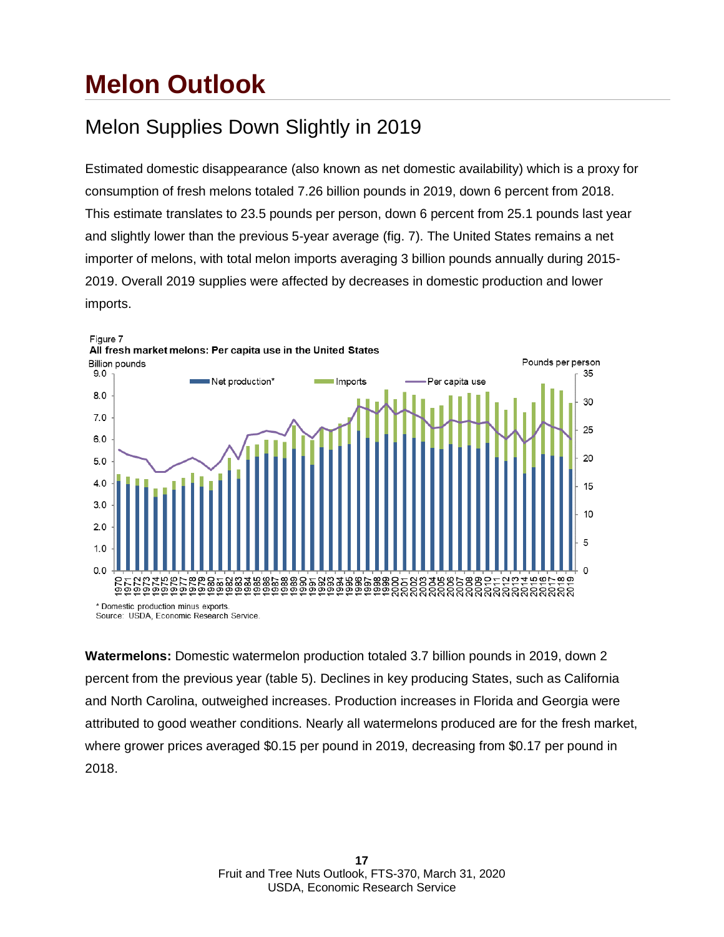### **Melon Outlook**

### Melon Supplies Down Slightly in 2019

Estimated domestic disappearance (also known as net domestic availability) which is a proxy for consumption of fresh melons totaled 7.26 billion pounds in 2019, down 6 percent from 2018. This estimate translates to 23.5 pounds per person, down 6 percent from 25.1 pounds last year and slightly lower than the previous 5-year average (fig. 7). The United States remains a net importer of melons, with total melon imports averaging 3 billion pounds annually during 2015- 2019. Overall 2019 supplies were affected by decreases in domestic production and lower imports.



**Watermelons:** Domestic watermelon production totaled 3.7 billion pounds in 2019, down 2 percent from the previous year (table 5). Declines in key producing States, such as California and North Carolina, outweighed increases. Production increases in Florida and Georgia were attributed to good weather conditions. Nearly all watermelons produced are for the fresh market, where grower prices averaged \$0.15 per pound in 2019, decreasing from \$0.17 per pound in 2018.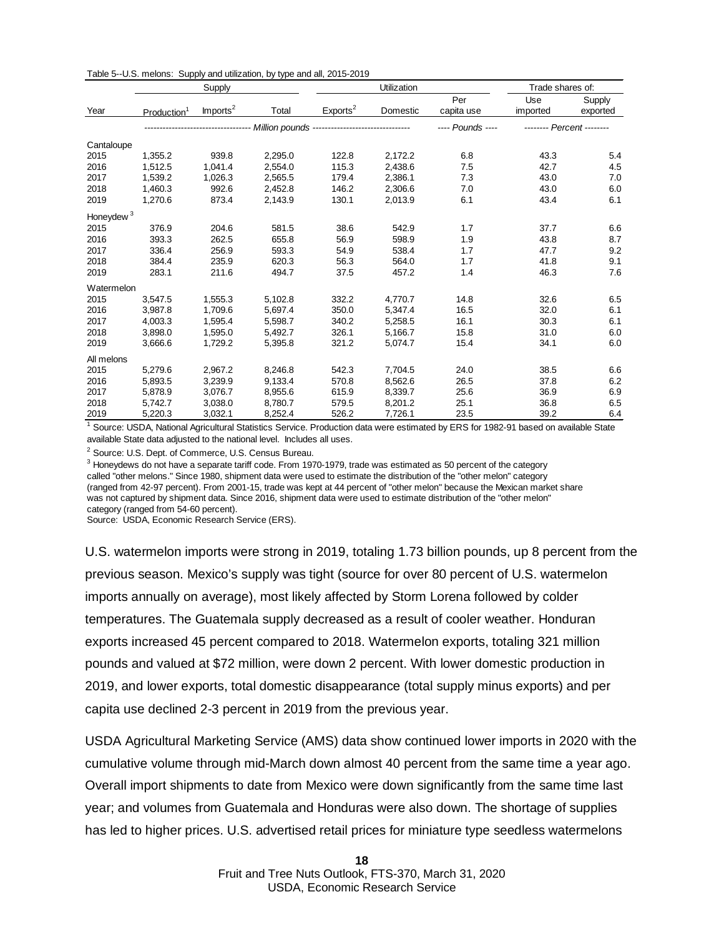|  |  | Table 5--U.S. melons: Supply and utilization, by type and all, 2015-2019 |
|--|--|--------------------------------------------------------------------------|
|--|--|--------------------------------------------------------------------------|

|                       | Supply                  |                      |         |                                                                      | Utilization | Trade shares of:  |                           |                    |
|-----------------------|-------------------------|----------------------|---------|----------------------------------------------------------------------|-------------|-------------------|---------------------------|--------------------|
| Year                  | Production <sup>1</sup> | Imports <sup>2</sup> | Total   | Exports <sup>2</sup>                                                 | Domestic    | Per<br>capita use | Use<br>imported           | Supply<br>exported |
|                       |                         |                      |         | --------------------- Million pounds ------------------------------- |             | ---- Pounds ----  | -------- Percent -------- |                    |
| Cantaloupe            |                         |                      |         |                                                                      |             |                   |                           |                    |
| 2015                  | 1,355.2                 | 939.8                | 2,295.0 | 122.8                                                                | 2,172.2     | 6.8               | 43.3                      | 5.4                |
| 2016                  | 1,512.5                 | 1,041.4              | 2,554.0 | 115.3                                                                | 2,438.6     | 7.5               | 42.7                      | 4.5                |
| 2017                  | 1,539.2                 | 1,026.3              | 2,565.5 | 179.4                                                                | 2,386.1     | 7.3               | 43.0                      | 7.0                |
| 2018                  | 1,460.3                 | 992.6                | 2,452.8 | 146.2                                                                | 2,306.6     | 7.0               | 43.0                      | 6.0                |
| 2019                  | 1,270.6                 | 873.4                | 2,143.9 | 130.1                                                                | 2,013.9     | 6.1               | 43.4                      | 6.1                |
| Honeydew <sup>3</sup> |                         |                      |         |                                                                      |             |                   |                           |                    |
| 2015                  | 376.9                   | 204.6                | 581.5   | 38.6                                                                 | 542.9       | 1.7               | 37.7                      | 6.6                |
| 2016                  | 393.3                   | 262.5                | 655.8   | 56.9                                                                 | 598.9       | 1.9               | 43.8                      | 8.7                |
| 2017                  | 336.4                   | 256.9                | 593.3   | 54.9                                                                 | 538.4       | 1.7               | 47.7                      | 9.2                |
| 2018                  | 384.4                   | 235.9                | 620.3   | 56.3                                                                 | 564.0       | 1.7               | 41.8                      | 9.1                |
| 2019                  | 283.1                   | 211.6                | 494.7   | 37.5                                                                 | 457.2       | 1.4               | 46.3                      | 7.6                |
| Watermelon            |                         |                      |         |                                                                      |             |                   |                           |                    |
| 2015                  | 3,547.5                 | 1,555.3              | 5,102.8 | 332.2                                                                | 4,770.7     | 14.8              | 32.6                      | 6.5                |
| 2016                  | 3,987.8                 | 1.709.6              | 5,697.4 | 350.0                                                                | 5,347.4     | 16.5              | 32.0                      | 6.1                |
| 2017                  | 4,003.3                 | 1,595.4              | 5,598.7 | 340.2                                                                | 5,258.5     | 16.1              | 30.3                      | 6.1                |
| 2018                  | 3,898.0                 | 1.595.0              | 5,492.7 | 326.1                                                                | 5,166.7     | 15.8              | 31.0                      | 6.0                |
| 2019                  | 3,666.6                 | 1,729.2              | 5,395.8 | 321.2                                                                | 5,074.7     | 15.4              | 34.1                      | 6.0                |
| All melons            |                         |                      |         |                                                                      |             |                   |                           |                    |
| 2015                  | 5,279.6                 | 2,967.2              | 8,246.8 | 542.3                                                                | 7,704.5     | 24.0              | 38.5                      | 6.6                |
| 2016                  | 5,893.5                 | 3,239.9              | 9,133.4 | 570.8                                                                | 8,562.6     | 26.5              | 37.8                      | 6.2                |
| 2017                  | 5,878.9                 | 3,076.7              | 8,955.6 | 615.9                                                                | 8,339.7     | 25.6              | 36.9                      | 6.9                |
| 2018                  | 5,742.7                 | 3.038.0              | 8,780.7 | 579.5                                                                | 8,201.2     | 25.1              | 36.8                      | 6.5                |
| 2019                  | 5,220.3                 | 3,032.1              | 8.252.4 | 526.2                                                                | 7.726.1     | 23.5              | 39.2                      | 6.4                |

available State data adjusted to the national level. Includes all uses. <sup>1</sup> Source: USDA, National Agricultural Statistics Service. Production data were estimated by ERS for 1982-91 based on available State

<sup>2</sup> Source: U.S. Dept. of Commerce, U.S. Census Bureau.

 $^3$  Honeydews do not have a separate tariff code. From 1970-1979, trade was estimated as 50 percent of the category called "other melons." Since 1980, shipment data were used to estimate the distribution of the "other melon" category (ranged from 42-97 percent). From 2001-15, trade was kept at 44 percent of "other melon" because the Mexican market share was not captured by shipment data. Since 2016, shipment data were used to estimate distribution of the "other melon" category (ranged from 54-60 percent).

Source: USDA, Economic Research Service (ERS).

U.S. watermelon imports were strong in 2019, totaling 1.73 billion pounds, up 8 percent from the previous season. Mexico's supply was tight (source for over 80 percent of U.S. watermelon imports annually on average), most likely affected by Storm Lorena followed by colder temperatures. The Guatemala supply decreased as a result of cooler weather. Honduran exports increased 45 percent compared to 2018. Watermelon exports, totaling 321 million pounds and valued at \$72 million, were down 2 percent. With lower domestic production in 2019, and lower exports, total domestic disappearance (total supply minus exports) and per capita use declined 2-3 percent in 2019 from the previous year.

USDA Agricultural Marketing Service (AMS) data show continued lower imports in 2020 with the cumulative volume through mid-March down almost 40 percent from the same time a year ago. Overall import shipments to date from Mexico were down significantly from the same time last year; and volumes from Guatemala and Honduras were also down. The shortage of supplies has led to higher prices. U.S. advertised retail prices for miniature type seedless watermelons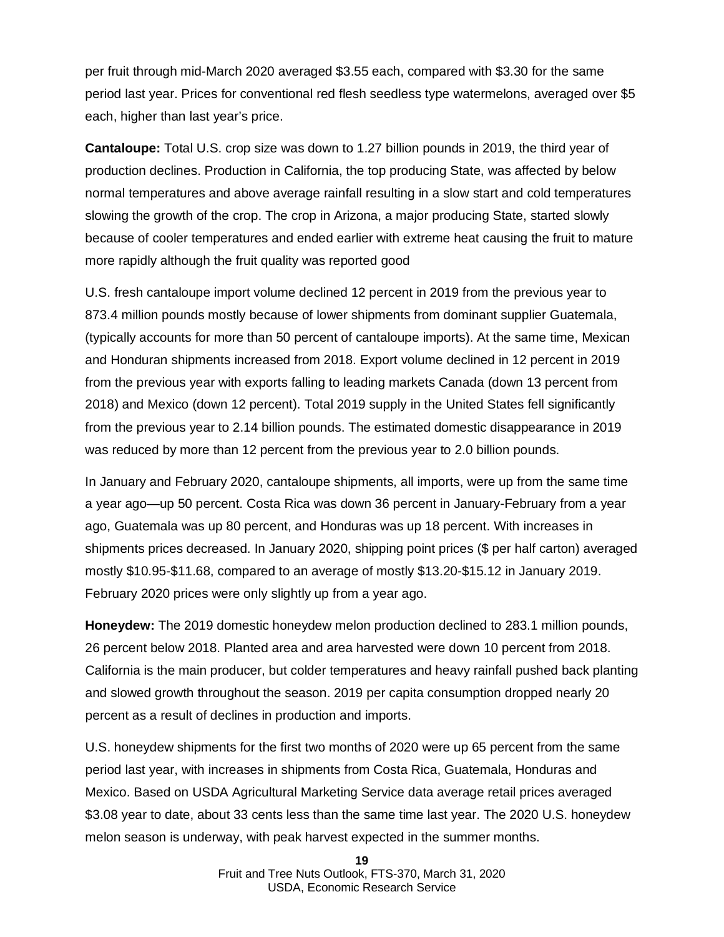per fruit through mid-March 2020 averaged \$3.55 each, compared with \$3.30 for the same period last year. Prices for conventional red flesh seedless type watermelons, averaged over \$5 each, higher than last year's price.

**Cantaloupe:** Total U.S. crop size was down to 1.27 billion pounds in 2019, the third year of production declines. Production in California, the top producing State, was affected by below normal temperatures and above average rainfall resulting in a slow start and cold temperatures slowing the growth of the crop. The crop in Arizona, a major producing State, started slowly because of cooler temperatures and ended earlier with extreme heat causing the fruit to mature more rapidly although the fruit quality was reported good

U.S. fresh cantaloupe import volume declined 12 percent in 2019 from the previous year to 873.4 million pounds mostly because of lower shipments from dominant supplier Guatemala, (typically accounts for more than 50 percent of cantaloupe imports). At the same time, Mexican and Honduran shipments increased from 2018. Export volume declined in 12 percent in 2019 from the previous year with exports falling to leading markets Canada (down 13 percent from 2018) and Mexico (down 12 percent). Total 2019 supply in the United States fell significantly from the previous year to 2.14 billion pounds. The estimated domestic disappearance in 2019 was reduced by more than 12 percent from the previous year to 2.0 billion pounds.

In January and February 2020, cantaloupe shipments, all imports, were up from the same time a year ago—up 50 percent. Costa Rica was down 36 percent in January-February from a year ago, Guatemala was up 80 percent, and Honduras was up 18 percent. With increases in shipments prices decreased. In January 2020, shipping point prices (\$ per half carton) averaged mostly \$10.95-\$11.68, compared to an average of mostly \$13.20-\$15.12 in January 2019. February 2020 prices were only slightly up from a year ago.

**Honeydew:** The 2019 domestic honeydew melon production declined to 283.1 million pounds, 26 percent below 2018. Planted area and area harvested were down 10 percent from 2018. California is the main producer, but colder temperatures and heavy rainfall pushed back planting and slowed growth throughout the season. 2019 per capita consumption dropped nearly 20 percent as a result of declines in production and imports.

U.S. honeydew shipments for the first two months of 2020 were up 65 percent from the same period last year, with increases in shipments from Costa Rica, Guatemala, Honduras and Mexico. Based on USDA Agricultural Marketing Service data average retail prices averaged \$3.08 year to date, about 33 cents less than the same time last year. The 2020 U.S. honeydew melon season is underway, with peak harvest expected in the summer months.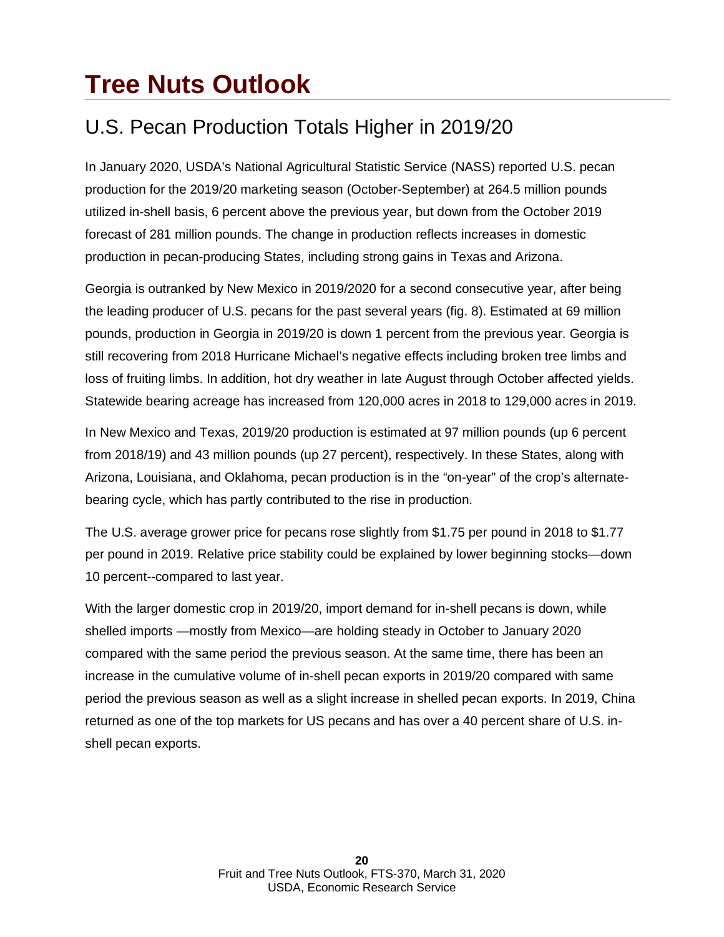## **Tree Nuts Outlook**

### U.S. Pecan Production Totals Higher in 2019/20

In January 2020, USDA's National Agricultural Statistic Service (NASS) reported U.S. pecan production for the 2019/20 marketing season (October-September) at 264.5 million pounds utilized in-shell basis, 6 percent above the previous year, but down from the October 2019 forecast of 281 million pounds. The change in production reflects increases in domestic production in pecan-producing States, including strong gains in Texas and Arizona.

Georgia is outranked by New Mexico in 2019/2020 for a second consecutive year, after being the leading producer of U.S. pecans for the past several years (fig. 8). Estimated at 69 million pounds, production in Georgia in 2019/20 is down 1 percent from the previous year. Georgia is still recovering from 2018 Hurricane Michael's negative effects including broken tree limbs and loss of fruiting limbs. In addition, hot dry weather in late August through October affected yields. Statewide bearing acreage has increased from 120,000 acres in 2018 to 129,000 acres in 2019.

In New Mexico and Texas, 2019/20 production is estimated at 97 million pounds (up 6 percent from 2018/19) and 43 million pounds (up 27 percent), respectively. In these States, along with Arizona, Louisiana, and Oklahoma, pecan production is in the "on-year" of the crop's alternatebearing cycle, which has partly contributed to the rise in production.

The U.S. average grower price for pecans rose slightly from \$1.75 per pound in 2018 to \$1.77 per pound in 2019. Relative price stability could be explained by lower beginning stocks—down 10 percent--compared to last year.

With the larger domestic crop in 2019/20, import demand for in-shell pecans is down, while shelled imports —mostly from Mexico—are holding steady in October to January 2020 compared with the same period the previous season. At the same time, there has been an increase in the cumulative volume of in-shell pecan exports in 2019/20 compared with same period the previous season as well as a slight increase in shelled pecan exports. In 2019, China returned as one of the top markets for US pecans and has over a 40 percent share of U.S. inshell pecan exports.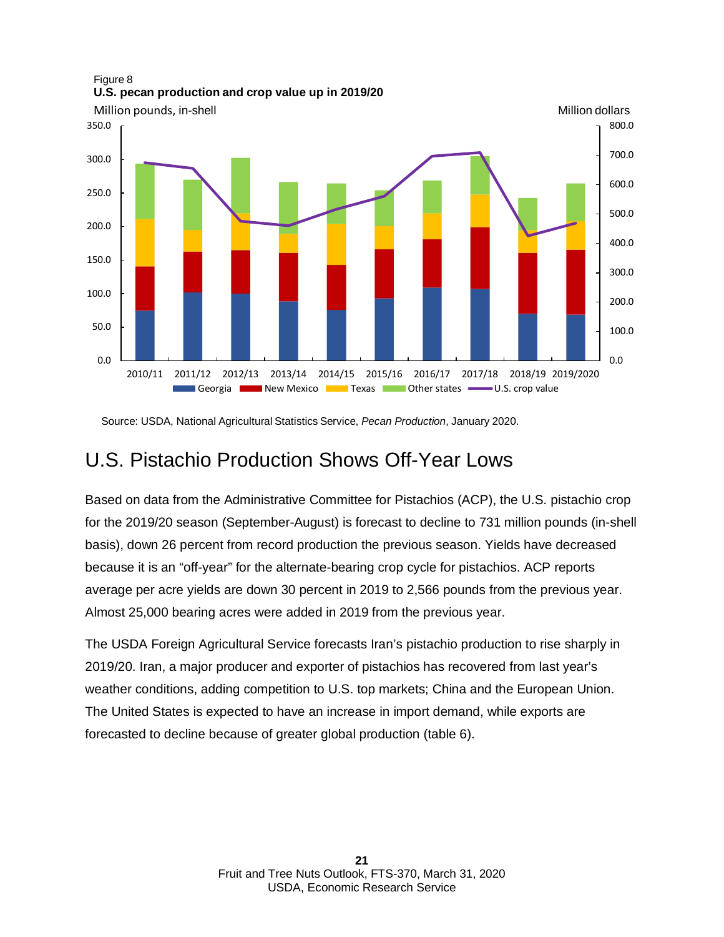

Source: USDA, National Agricultural Statistics Service, *Pecan Production*, January 2020.

#### U.S. Pistachio Production Shows Off-Year Lows

Based on data from the Administrative Committee for Pistachios (ACP), the U.S. pistachio crop for the 2019/20 season (September-August) is forecast to decline to 731 million pounds (in-shell basis), down 26 percent from record production the previous season. Yields have decreased because it is an "off-year" for the alternate-bearing crop cycle for pistachios. ACP reports average per acre yields are down 30 percent in 2019 to 2,566 pounds from the previous year. Almost 25,000 bearing acres were added in 2019 from the previous year.

The USDA Foreign Agricultural Service forecasts Iran's pistachio production to rise sharply in 2019/20. Iran, a major producer and exporter of pistachios has recovered from last year's weather conditions, adding competition to U.S. top markets; China and the European Union. The United States is expected to have an increase in import demand, while exports are forecasted to decline because of greater global production (table 6).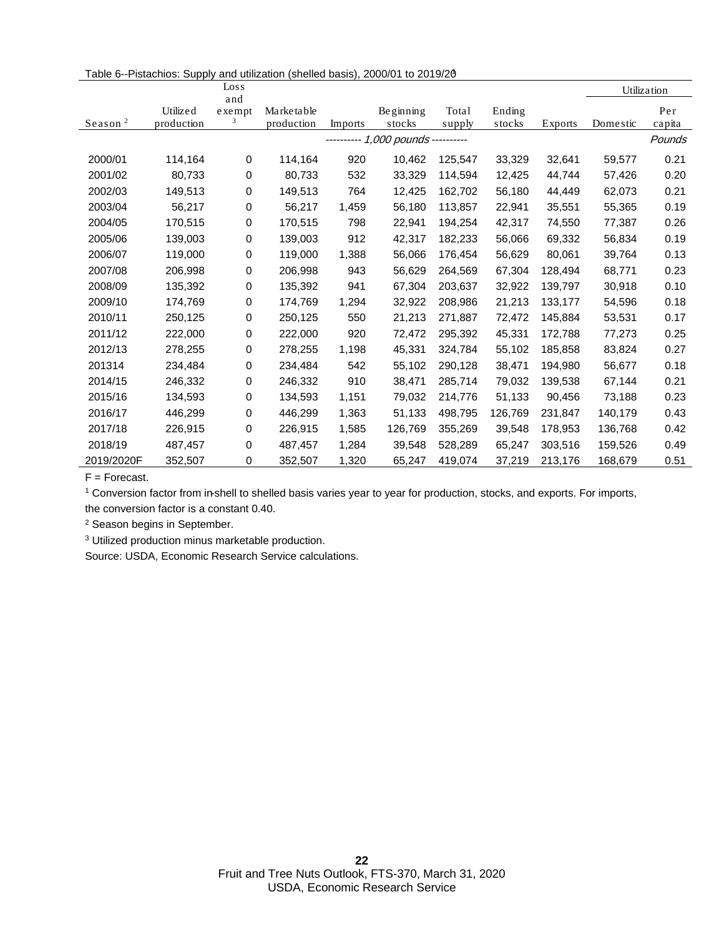|                     |                        | $\frac{Loss}{s}$      |                          |         |                                  |                 |                  |         |          | Utilization   |
|---------------------|------------------------|-----------------------|--------------------------|---------|----------------------------------|-----------------|------------------|---------|----------|---------------|
| Season <sup>2</sup> | Utilized<br>production | and<br>$ex$ empt<br>3 | Marketable<br>production | Imports | Beginning<br>stocks              | Total<br>supply | Ending<br>stocks | Exports | Domestic | Per<br>capita |
|                     |                        |                       |                          |         | --------- 1,000 pounds --------- |                 |                  |         |          | Pounds        |
|                     |                        |                       |                          |         |                                  |                 |                  |         |          |               |
| 2000/01             | 114,164                | 0                     | 114,164                  | 920     | 10,462                           | 125,547         | 33,329           | 32,641  | 59,577   | 0.21          |
| 2001/02             | 80,733                 | 0                     | 80,733                   | 532     | 33,329                           | 114,594         | 12,425           | 44,744  | 57,426   | 0.20          |
| 2002/03             | 149,513                | 0                     | 149,513                  | 764     | 12,425                           | 162,702         | 56,180           | 44,449  | 62,073   | 0.21          |
| 2003/04             | 56,217                 | 0                     | 56,217                   | 1,459   | 56,180                           | 113,857         | 22,941           | 35,551  | 55,365   | 0.19          |
| 2004/05             | 170,515                | 0                     | 170,515                  | 798     | 22,941                           | 194,254         | 42,317           | 74,550  | 77,387   | 0.26          |
| 2005/06             | 139,003                | 0                     | 139,003                  | 912     | 42,317                           | 182,233         | 56,066           | 69,332  | 56,834   | 0.19          |
| 2006/07             | 119,000                | 0                     | 119,000                  | 1,388   | 56,066                           | 176,454         | 56,629           | 80,061  | 39,764   | 0.13          |
| 2007/08             | 206,998                | 0                     | 206,998                  | 943     | 56,629                           | 264,569         | 67,304           | 128,494 | 68,771   | 0.23          |
| 2008/09             | 135,392                | 0                     | 135,392                  | 941     | 67,304                           | 203,637         | 32,922           | 139,797 | 30,918   | 0.10          |
| 2009/10             | 174,769                | 0                     | 174,769                  | 1,294   | 32,922                           | 208,986         | 21,213           | 133,177 | 54,596   | 0.18          |
| 2010/11             | 250,125                | 0                     | 250,125                  | 550     | 21,213                           | 271,887         | 72,472           | 145,884 | 53,531   | 0.17          |
| 2011/12             | 222,000                | 0                     | 222,000                  | 920     | 72,472                           | 295,392         | 45,331           | 172,788 | 77,273   | 0.25          |
| 2012/13             | 278,255                | 0                     | 278,255                  | 1,198   | 45,331                           | 324,784         | 55,102           | 185,858 | 83,824   | 0.27          |
| 201314              | 234,484                | 0                     | 234,484                  | 542     | 55,102                           | 290,128         | 38,471           | 194,980 | 56,677   | 0.18          |
| 2014/15             | 246,332                | 0                     | 246,332                  | 910     | 38,471                           | 285,714         | 79,032           | 139,538 | 67,144   | 0.21          |
| 2015/16             | 134,593                | 0                     | 134,593                  | 1,151   | 79,032                           | 214,776         | 51,133           | 90,456  | 73,188   | 0.23          |
| 2016/17             | 446,299                | 0                     | 446,299                  | 1,363   | 51,133                           | 498,795         | 126,769          | 231,847 | 140,179  | 0.43          |
| 2017/18             | 226,915                | 0                     | 226,915                  | 1,585   | 126,769                          | 355,269         | 39,548           | 178,953 | 136,768  | 0.42          |
| 2018/19             | 487,457                | 0                     | 487,457                  | 1,284   | 39,548                           | 528,289         | 65,247           | 303,516 | 159,526  | 0.49          |
| 2019/2020F          | 352,507                | 0                     | 352,507                  | 1,320   | 65,247                           | 419,074         | 37,219           | 213,176 | 168,679  | 0.51          |

F = Forecast.

<sup>1</sup> Conversion factor from in-shell to shelled basis varies year to year for production, stocks, and exports. For imports,

the conversion factor is a constant 0.40.

<sup>2</sup> Season begins in September.

<sup>3</sup> Utilized production minus marketable production.

Source: USDA, Economic Research Service calculations.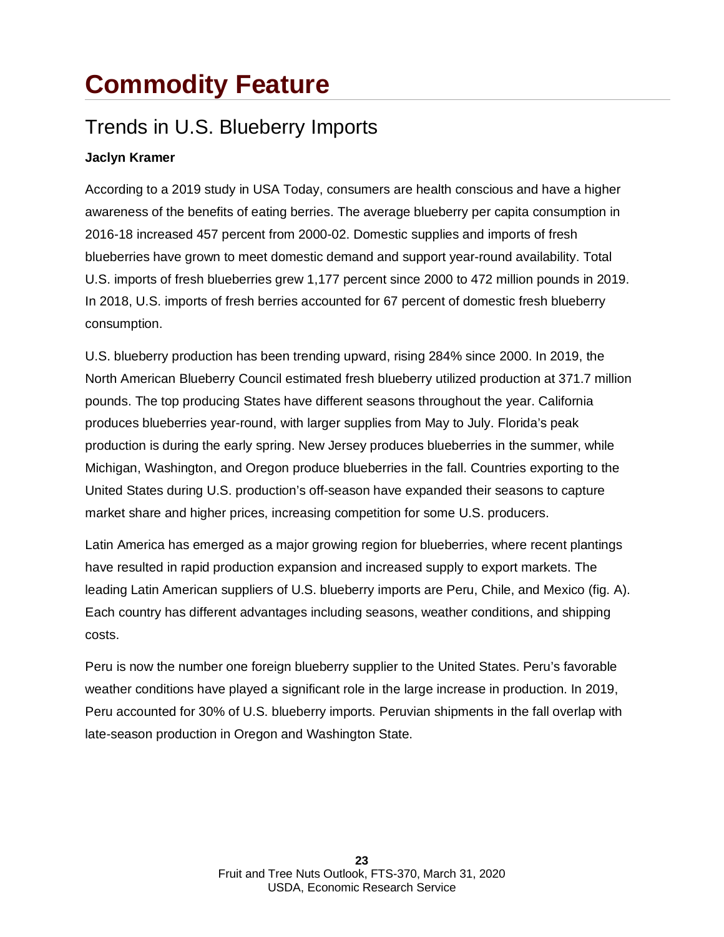### **Commodity Feature**

#### Trends in U.S. Blueberry Imports

#### **Jaclyn Kramer**

According to a 2019 study in USA Today, consumers are health conscious and have a higher awareness of the benefits of eating berries. The average blueberry per capita consumption in 2016-18 increased 457 percent from 2000-02. Domestic supplies and imports of fresh blueberries have grown to meet domestic demand and support year-round availability. Total U.S. imports of fresh blueberries grew 1,177 percent since 2000 to 472 million pounds in 2019. In 2018, U.S. imports of fresh berries accounted for 67 percent of domestic fresh blueberry consumption.

U.S. blueberry production has been trending upward, rising 284% since 2000. In 2019, the North American Blueberry Council estimated fresh blueberry utilized production at 371.7 million pounds. The top producing States have different seasons throughout the year. California produces blueberries year-round, with larger supplies from May to July. Florida's peak production is during the early spring. New Jersey produces blueberries in the summer, while Michigan, Washington, and Oregon produce blueberries in the fall. Countries exporting to the United States during U.S. production's off-season have expanded their seasons to capture market share and higher prices, increasing competition for some U.S. producers.

Latin America has emerged as a major growing region for blueberries, where recent plantings have resulted in rapid production expansion and increased supply to export markets. The leading Latin American suppliers of U.S. blueberry imports are Peru, Chile, and Mexico (fig. A). Each country has different advantages including seasons, weather conditions, and shipping costs.

Peru is now the number one foreign blueberry supplier to the United States. Peru's favorable weather conditions have played a significant role in the large increase in production. In 2019, Peru accounted for 30% of U.S. blueberry imports. Peruvian shipments in the fall overlap with late-season production in Oregon and Washington State.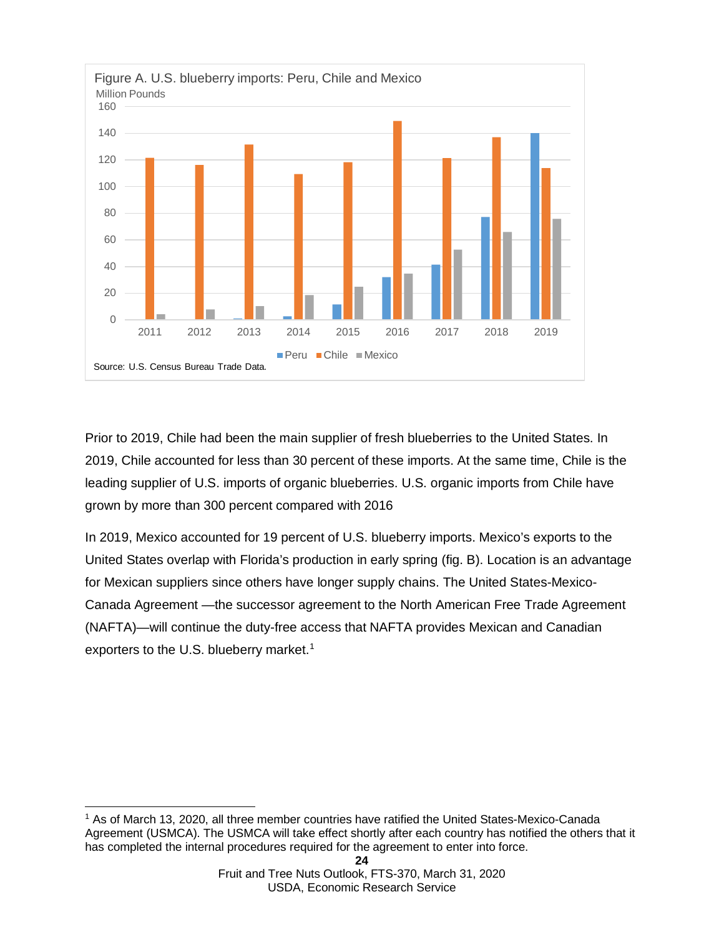

Prior to 2019, Chile had been the main supplier of fresh blueberries to the United States. In 2019, Chile accounted for less than 30 percent of these imports. At the same time, Chile is the leading supplier of U.S. imports of organic blueberries. U.S. organic imports from Chile have grown by more than 300 percent compared with 2016

In 2019, Mexico accounted for 19 percent of U.S. blueberry imports. Mexico's exports to the United States overlap with Florida's production in early spring (fig. B). Location is an advantage for Mexican suppliers since others have longer supply chains. The United States-Mexico-Canada Agreement —the successor agreement to the North American Free Trade Agreement (NAFTA)—will continue the duty-free access that NAFTA provides Mexican and Canadian exporters to the U.S. blueberry market.<sup>[1](#page-23-0)</sup>

<span id="page-23-0"></span>**<sup>24</sup>** <sup>1</sup> As of March 13, 2020, all three member countries have ratified the United States-Mexico-Canada Agreement (USMCA). The USMCA will take effect shortly after each country has notified the others that it has completed the internal procedures required for the agreement to enter into force.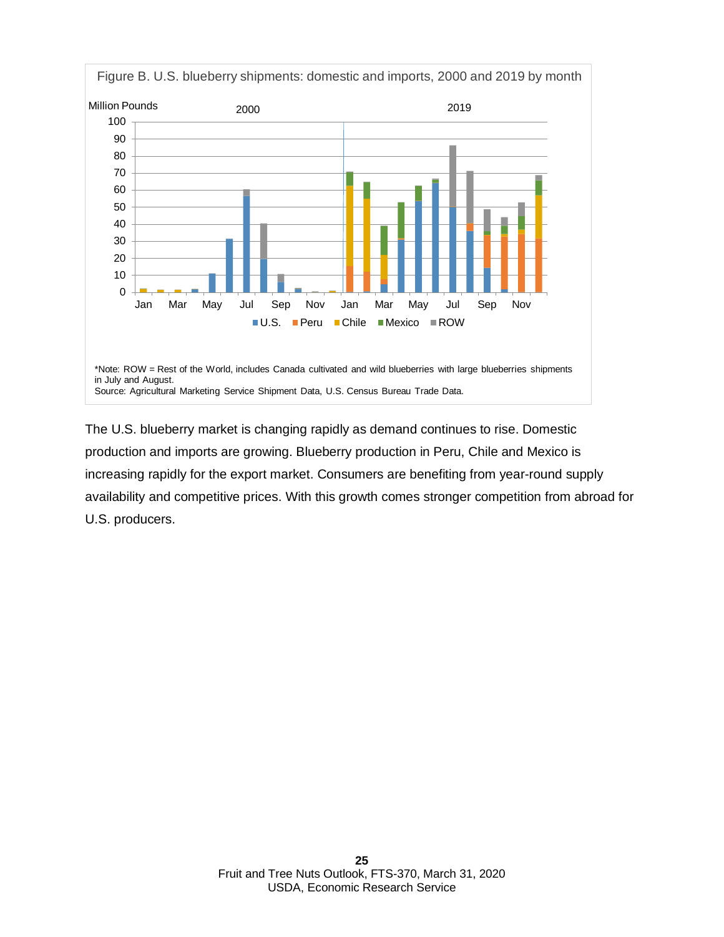

The U.S. blueberry market is changing rapidly as demand continues to rise. Domestic production and imports are growing. Blueberry production in Peru, Chile and Mexico is increasing rapidly for the export market. Consumers are benefiting from year-round supply availability and competitive prices. With this growth comes stronger competition from abroad for U.S. producers.